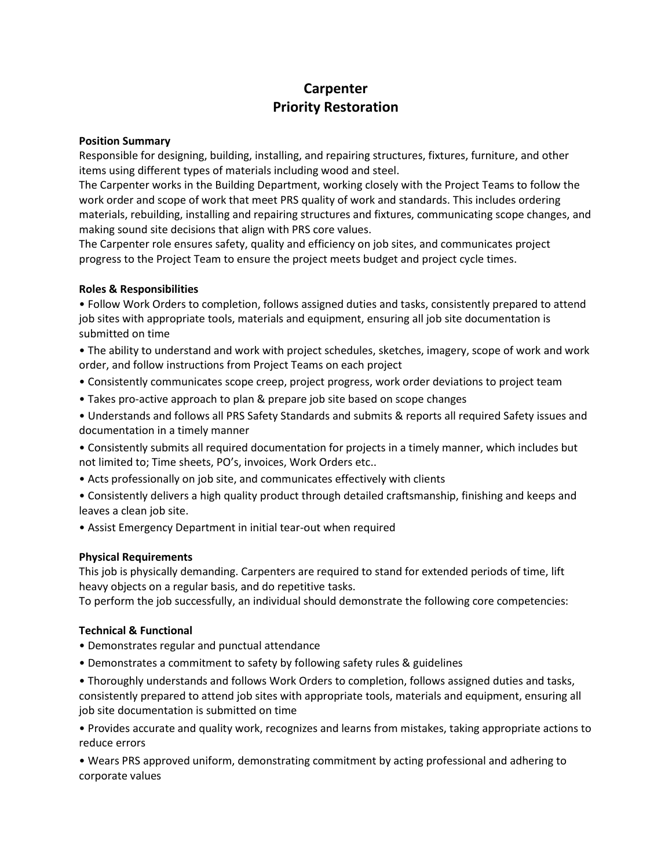# **Carpenter Priority Restoration**

#### **Position Summary**

Responsible for designing, building, installing, and repairing structures, fixtures, furniture, and other items using different types of materials including wood and steel.

The Carpenter works in the Building Department, working closely with the Project Teams to follow the work order and scope of work that meet PRS quality of work and standards. This includes ordering materials, rebuilding, installing and repairing structures and fixtures, communicating scope changes, and making sound site decisions that align with PRS core values.

The Carpenter role ensures safety, quality and efficiency on job sites, and communicates project progress to the Project Team to ensure the project meets budget and project cycle times.

### **Roles & Responsibilities**

• Follow Work Orders to completion, follows assigned duties and tasks, consistently prepared to attend job sites with appropriate tools, materials and equipment, ensuring all job site documentation is submitted on time

• The ability to understand and work with project schedules, sketches, imagery, scope of work and work order, and follow instructions from Project Teams on each project

- Consistently communicates scope creep, project progress, work order deviations to project team
- Takes pro-active approach to plan & prepare job site based on scope changes

• Understands and follows all PRS Safety Standards and submits & reports all required Safety issues and documentation in a timely manner

- Consistently submits all required documentation for projects in a timely manner, which includes but not limited to; Time sheets, PO's, invoices, Work Orders etc..
- Acts professionally on job site, and communicates effectively with clients

• Consistently delivers a high quality product through detailed craftsmanship, finishing and keeps and leaves a clean job site.

• Assist Emergency Department in initial tear-out when required

## **Physical Requirements**

This job is physically demanding. Carpenters are required to stand for extended periods of time, lift heavy objects on a regular basis, and do repetitive tasks.

To perform the job successfully, an individual should demonstrate the following core competencies:

## **Technical & Functional**

- Demonstrates regular and punctual attendance
- Demonstrates a commitment to safety by following safety rules & guidelines

• Thoroughly understands and follows Work Orders to completion, follows assigned duties and tasks, consistently prepared to attend job sites with appropriate tools, materials and equipment, ensuring all job site documentation is submitted on time

• Provides accurate and quality work, recognizes and learns from mistakes, taking appropriate actions to reduce errors

• Wears PRS approved uniform, demonstrating commitment by acting professional and adhering to corporate values